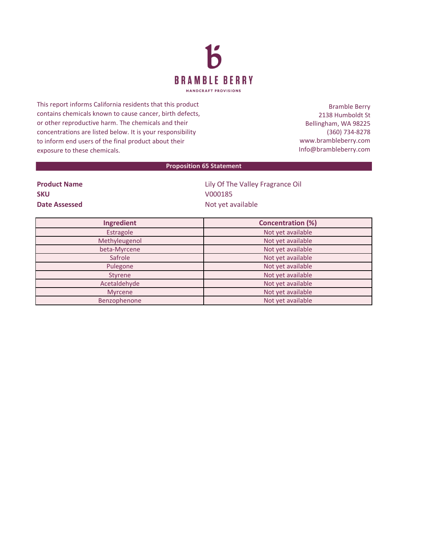

This report informs California residents that this product contains chemicals known to cause cancer, birth defects, or other reproductive harm. The chemicals and their concentrations are listed below. It is your responsibility to inform end users of the final product about their exposure to these chemicals.

Bramble Berry 2138 Humboldt St Bellingham, WA 98225 (360) 734-8278 www.brambleberry.com Info@brambleberry.com

## **Proposition 65 Statement**

| <b>Product Name</b> |  |
|---------------------|--|
| <b>SKU</b>          |  |
| Date Assessed       |  |

**Lily Of The Valley Fragrance Oil SKU** V000185 **Date Assessed** Not yet available

| Ingredient    | <b>Concentration (%)</b> |
|---------------|--------------------------|
| Estragole     | Not yet available        |
| Methyleugenol | Not yet available        |
| beta-Myrcene  | Not yet available        |
| Safrole       | Not yet available        |
| Pulegone      | Not yet available        |
| Styrene       | Not yet available        |
| Acetaldehyde  | Not yet available        |
| Myrcene       | Not yet available        |
| Benzophenone  | Not yet available        |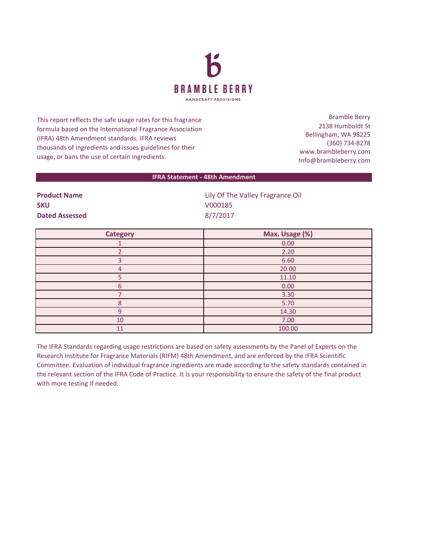

This report reflects the safe usage rates for this fragrance formula based on the International Fragrance Association (IFRA) 48th Amendment standards. IFRA reviews thousands of ingredients and issues guidelines for their usage, or bans the use of certain ingredients.

Bramble Berry 2138 Humboldt St Bellingham, WA 98225 (360) 734-8278 www.brambleberry.com Info@brambleberry.com

## **IFRA Statement - 48th Amendment**

| <b>Product Name</b>   | Lily Of The Valley Fragrance Oil |
|-----------------------|----------------------------------|
| <b>SKU</b>            | V000185                          |
| <b>Dated Assessed</b> | 8/7/2017                         |

| <b>Category</b> | Max. Usage (%) |
|-----------------|----------------|
|                 | 0.00           |
|                 | 2.20           |
|                 | 6.60           |
| 4               | 20.00          |
|                 | 11.10          |
| 6               | 0.00           |
|                 | 3.30           |
| 8               | 5.70           |
| q               | 14.30          |
| 10              | 7.00           |
| 11              | 100.00         |

The IFRA Standards regarding usage restrictions are based on safety assessments by the Panel of Experts on the Research Institute for Fragrance Materials (RIFM) 48th Amendment, and are enforced by the IFRA Scientific Committee. Evaluation of individual fragrance ingredients are made according to the safety standards contained in the relevant section of the IFRA Code of Practice. It is your responsibility to ensure the safety of the final product with more testing if needed.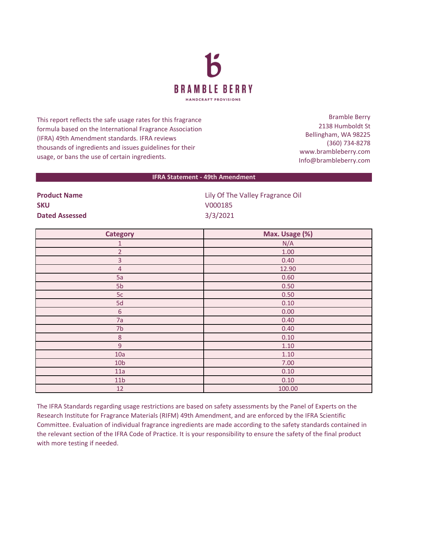

This report reflects the safe usage rates for this fragrance formula based on the International Fragrance Association (IFRA) 49th Amendment standards. IFRA reviews thousands of ingredients and issues guidelines for their usage, or bans the use of certain ingredients.

Bramble Berry 2138 Humboldt St Bellingham, WA 98225 (360) 734-8278 www.brambleberry.com Info@brambleberry.com

## **IFRA Statement - 49th Amendment**

| <b>Product Name</b>   |  |
|-----------------------|--|
| <b>SKU</b>            |  |
| <b>Dated Assessed</b> |  |

**Lily Of The Valley Fragrance Oil SKU** V000185 **Dated Assessed** 3/3/2021

| <b>Category</b> | Max. Usage (%) |
|-----------------|----------------|
| $\mathbf{1}$    | N/A            |
| $\overline{2}$  | $1.00\,$       |
| $\overline{3}$  | 0.40           |
| $\overline{4}$  | 12.90          |
| 5a              | 0.60           |
| 5 <sub>b</sub>  | 0.50           |
| 5c              | 0.50           |
| 5d              | 0.10           |
| $\sqrt{6}$      | 0.00           |
| 7a              | 0.40           |
| 7 <sub>b</sub>  | 0.40           |
| $\,8\,$         | 0.10           |
| 9               | 1.10           |
| 10a             | 1.10           |
| 10 <sub>b</sub> | 7.00           |
| 11a             | 0.10           |
| 11 <sub>b</sub> | 0.10           |
| 12              | 100.00         |

The IFRA Standards regarding usage restrictions are based on safety assessments by the Panel of Experts on the Research Institute for Fragrance Materials (RIFM) 49th Amendment, and are enforced by the IFRA Scientific Committee. Evaluation of individual fragrance ingredients are made according to the safety standards contained in the relevant section of the IFRA Code of Practice. It is your responsibility to ensure the safety of the final product with more testing if needed.